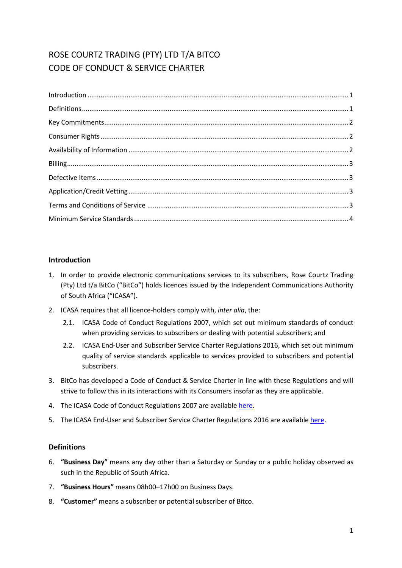# ROSE COURTZ TRADING (PTY) LTD T/A BITCO CODE OF CONDUCT & SERVICE CHARTER

# <span id="page-0-0"></span>**Introduction**

- 1. In order to provide electronic communications services to its subscribers, Rose Courtz Trading (Pty) Ltd t/a BitCo ("BitCo") holds licences issued by the Independent Communications Authority of South Africa ("ICASA").
- 2. ICASA requires that all licence-holders comply with, *inter alia*, the:
	- 2.1. ICASA Code of Conduct Regulations 2007, which set out minimum standards of conduct when providing services to subscribers or dealing with potential subscribers; and
	- 2.2. ICASA End-User and Subscriber Service Charter Regulations 2016, which set out minimum quality of service standards applicable to services provided to subscribers and potential subscribers.
- 3. BitCo has developed a Code of Conduct & Service Charter in line with these Regulations and will strive to follow this in its interactions with its Consumers insofar as they are applicable.
- 4. The ICASA Code of Conduct Regulations 2007 are availabl[e here.](http://www.ellipsis.co.za/wp-content/uploads/2017/04/Code_of_Conduct_Regulations_2007.pdf)
- <span id="page-0-1"></span>5. The ICASA End-User and Subscriber Service Charter Regulations 2016 are availabl[e here.](http://www.ellipsis.co.za/wp-content/uploads/2015/10/EUSSC-Regulations-2016.pdf)

# **Definitions**

- 6. **"Business Day"** means any day other than a Saturday or Sunday or a public holiday observed as such in the Republic of South Africa.
- 7. **"Business Hours"** means 08h00–17h00 on Business Days.
- 8. **"Customer"** means a subscriber or potential subscriber of Bitco.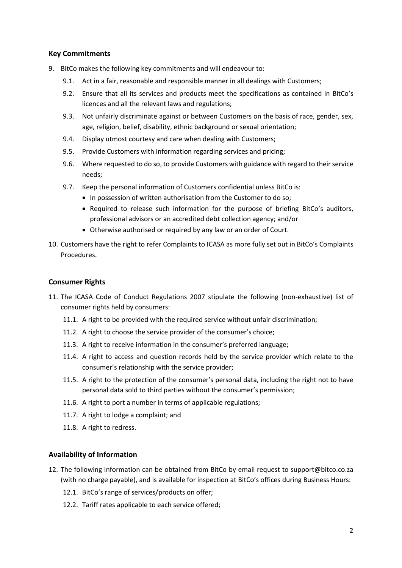# <span id="page-1-0"></span>**Key Commitments**

- 9. BitCo makes the following key commitments and will endeavour to:
	- 9.1. Act in a fair, reasonable and responsible manner in all dealings with Customers;
	- 9.2. Ensure that all its services and products meet the specifications as contained in BitCo's licences and all the relevant laws and regulations;
	- 9.3. Not unfairly discriminate against or between Customers on the basis of race, gender, sex, age, religion, belief, disability, ethnic background or sexual orientation;
	- 9.4. Display utmost courtesy and care when dealing with Customers;
	- 9.5. Provide Customers with information regarding services and pricing;
	- 9.6. Where requested to do so, to provide Customers with guidance with regard to their service needs;
	- 9.7. Keep the personal information of Customers confidential unless BitCo is:
		- In possession of written authorisation from the Customer to do so;
		- Required to release such information for the purpose of briefing BitCo's auditors, professional advisors or an accredited debt collection agency; and/or
		- Otherwise authorised or required by any law or an order of Court.
- 10. Customers have the right to refer Complaints to ICASA as more fully set out in BitCo's Complaints Procedures.

#### <span id="page-1-1"></span>**Consumer Rights**

- 11. The ICASA Code of Conduct Regulations 2007 stipulate the following (non-exhaustive) list of consumer rights held by consumers:
	- 11.1. A right to be provided with the required service without unfair discrimination;
	- 11.2. A right to choose the service provider of the consumer's choice;
	- 11.3. A right to receive information in the consumer's preferred language;
	- 11.4. A right to access and question records held by the service provider which relate to the consumer's relationship with the service provider;
	- 11.5. A right to the protection of the consumer's personal data, including the right not to have personal data sold to third parties without the consumer's permission;
	- 11.6. A right to port a number in terms of applicable regulations;
	- 11.7. A right to lodge a complaint; and
	- 11.8. A right to redress.

# <span id="page-1-2"></span>**Availability of Information**

- 12. The following information can be obtained from BitCo by email request to support@bitco.co.za (with no charge payable), and is available for inspection at BitCo's offices during Business Hours:
	- 12.1. BitCo's range of services/products on offer;
	- 12.2. Tariff rates applicable to each service offered;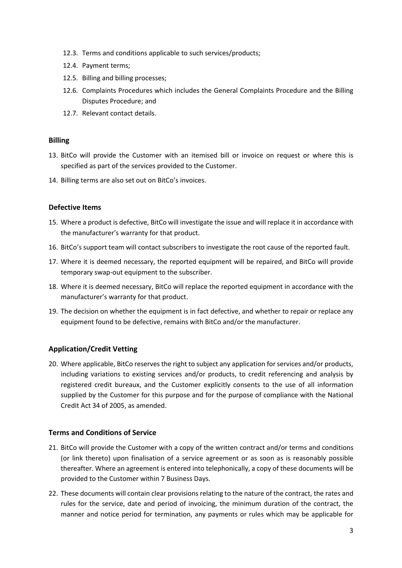- 12.3. Terms and conditions applicable to such services/products;
- 12.4. Payment terms;
- 12.5. Billing and billing processes;
- 12.6. Complaints Procedures which includes the General Complaints Procedure and the Billing Disputes Procedure; and
- 12.7. Relevant contact details.

#### <span id="page-2-0"></span>**Billing**

- 13. BitCo will provide the Customer with an itemised bill or invoice on request or where this is specified as part of the services provided to the Customer.
- <span id="page-2-1"></span>14. Billing terms are also set out on BitCo's invoices.

# **Defective Items**

- 15. Where a product is defective, BitCo will investigate the issue and will replace it in accordance with the manufacturer's warranty for that product.
- 16. BitCo's support team will contact subscribers to investigate the root cause of the reported fault.
- 17. Where it is deemed necessary, the reported equipment will be repaired, and BitCo will provide temporary swap-out equipment to the subscriber.
- 18. Where it is deemed necessary, BitCo will replace the reported equipment in accordance with the manufacturer's warranty for that product.
- 19. The decision on whether the equipment is in fact defective, and whether to repair or replace any equipment found to be defective, remains with BitCo and/or the manufacturer.

# <span id="page-2-2"></span>**Application/Credit Vetting**

20. Where applicable, BitCo reserves the right to subject any application for services and/or products, including variations to existing services and/or products, to credit referencing and analysis by registered credit bureaux, and the Customer explicitly consents to the use of all information supplied by the Customer for this purpose and for the purpose of compliance with the National Credit Act 34 of 2005, as amended.

# <span id="page-2-3"></span>**Terms and Conditions of Service**

- 21. BitCo will provide the Customer with a copy of the written contract and/or terms and conditions (or link thereto) upon finalisation of a service agreement or as soon as is reasonably possible thereafter. Where an agreement is entered into telephonically, a copy of these documents will be provided to the Customer within 7 Business Days.
- 22. These documents will contain clear provisions relating to the nature of the contract, the rates and rules for the service, date and period of invoicing, the minimum duration of the contract, the manner and notice period for termination, any payments or rules which may be applicable for